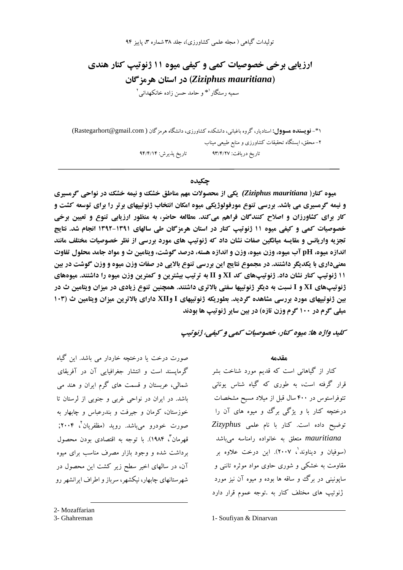تولیدات گیاهی ( مجله علمی کشاورزی)، جلد ۳۸ شماره ۳، پاییز ۹۴

ارزیابی برخی خصوصیات کمی و کیفی میوه ۱۱ ژنوتیپ کنار هندی (Ziziphus mauritiana) در استان هرمز گان سمیه رستگار <sup>۱</sup>\* و حامد حسن زاده خانکهدانی <sup>۲</sup>

۴۱- فویسنده مسوول: استادیار، گروه باغبانی، دانشکده کشاورزی، دانشگاه هرمزگان ( Rastegarhort@gmail.com) ۲– محقق، ایستگاه تحقیقات کشاورزی و منابع طبیعی میناب تاريخ پذيرش: ٩۴/۴/١۴ تاريخ دريافت: ٩٣/٤/٢٧

## حكىدە

میوه کنار( Ziziphus mauritiana) یکی از محصولات مهم مناطق خشک و نیمه خشک در نواحی گرمسیری و نیمه گرمسیری می باشد. بررسی تنوع مورفولوژیکی میوه امکان انتخاب ژنوتییهای برتر را برای توسعه کشت و کار برای کشاورزان و اصلاح کنندگان فراهم میکند. مطالعه حاضر، به منظور ارزیابی تنوع و تعیین برخی خصوصیات کمی و کیفی میوه ۱۱ ژنوتیپ کنار در استان هرمزگان طی سالهای ۱۳۹۱-۱۳۹۲ انجام شد. نتایج تجزیه واریانس و مقایسه میانگین صفات نشان داد که ژنوتیپ های مورد بررسی از نظر خصوصیات مختلف مانند اندازه میوه، pH آب میوه، وزن میوه، وزن و اندازه هسته، درصد گوشت، ویتامین ث و مواد جامد محلول تفاوت معنیداری با یکدیگر داشتند. در مجموع نتایج این بررسی تنوع بالایی در صفات وزن میوه و وزن گوشت در بین ۱۱ ژنوتیپ کنار نشان داد. ژنوتیپهای کد XI و II به ترتیب بیشترین و کمترین وزن میوه را داشتند. میوههای ژنوتیپهای XI و I نسبت به دیگر ژنوتیپها سفتی بالاتری داشتند. همچنین تنوع زیادی در میزان ویتامین ث در بین ژنوتیپهای مورد بررسی مشاهده گردید. بطوریکه ژنوتیپهای I وXII دارای بالاترین میزان ویتامین ث (۱۰۳ میلی گرم در ۱۰۰ گرم وزن تازه) در بین سایر ژنوتیپ ها بودند

کليد واژه ها: ميوه کنار، خصوصيات کمي و کيفي، ژنوتيپ

صورت درخت با درختچه خاردار می باشد. این گیاه گرمایسند است و انتشار جغرافیایی آن در آفریقای شمالی، عربستان و قسمت های گرم ایران و هند می باشد. در ایران در نواحی غربی و جنوبی از لرستان تا خوزستان، کرمان و جیرفت و بندرعباس و چابهار به صورت خودرو می،باشد. روید (مظفریان<sup>٬</sup>، ۲۰۰۴; قهرمان"، ۱۹۸۴). با توجه به اقتصادی بودن محصول برداشت شده و وجود بازار مصرف مناسب برای میوه آن، در سالهای اخیر سطح زیر کشت این محصول در شهرستانهای چابهار، نیکشهر، سرباز و اطراف ایرانشهر رو

2- Mozaffarian

3- Ghahreman

 $40.100$ 

کنار از گیاهانی است که قدیم مورد شناخت بشر قرار گرفته است، به طوری که گیاه شناس یونانی تئوفراستوس در ۴۰۰ سال قبل از میلاد مسیح مشخصات درختچه کنار یا و بژگی برگ و مبوه های آن را توضيح داده است. كنار با نام علمي Zizyphus mauritiana متعلق به خانواده رامناسه میباشد (سوفیان و دیناوند<sup>'</sup>، ۲۰۰۷). این درخت علاوه بر مقاومت به خشکی و شوری حاوی مواد موثره تاننی و سایونینی در برگ و ساقه ها بوده و میوه آن نیز مورد ژنوتیپ های مختلف کنار به .توجه عموم قرار دارد

1- Soufiyan & Dinarvan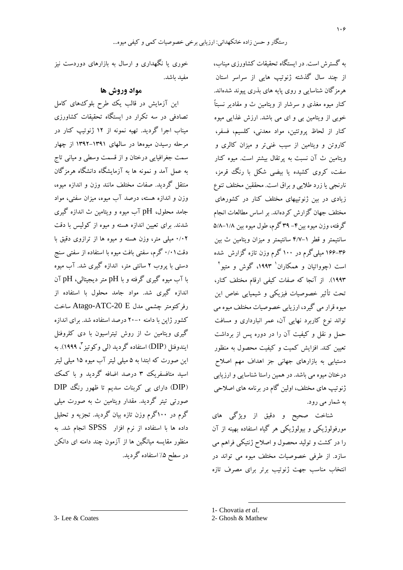به گسترش است. در ایستگاه تحقیقات کشاورزی میناب، از چند سال گذشته ژنوتیپ هایی از سراسر استان هرمزگان شناسایی و روی پایه های بذری پیوند شدهاند. کنار میوه مغذی و سرشار از ویتامین ث و مقادیر نسبتاً خوبی از ویتامین بی و ای می باشد. ارزش غذایی میوه کنار از لحاظ پروتئین، مواد معدنی، کلسیم، فسفر، کاروتن و ویتامین از سیب غنی تر و میزان کالری و ویتامین ث آن نسبت به پرتقال بیشتر است. میوه کنار سفت، کروی کشیده یا بیضی شکل با رنگ قرمز، نارنجی یا زرد طلایی و براق است. محققین مختلف تنوع زیادی در بین ژنوتپیهای مختلف کنار در کشورهای مختلف جهان گزارش کردهاند. بر اساس مطالعات انجام گرفته، وزن ميوه بين ۴- ۳۹ گرم، طول ميوه بين ۱/۸-۵/۸ سانتیمتر و قطر ۱–۴/۷ سانتیمتر و میزان ویتامین ث بین ۳۶–۱۶۶ میلیگرم در ۱۰۰گرم وزن تازه گزارش شده است (چوواتیان و همکاران<sup>۱</sup> ۱۹۹۳، گوش و متیو<sup>۲</sup> ۱۹۹۳). از آنجا که صفات کیفی ارقام مختلف کنار، ۔<br>تحت تأثیر خصوصیات فیزیکی و شیمیایی خاص این میوه قرار می گیرد، ارزیابی خصوصیات مختلف میوه می تواند نوع کاربرد نهایی آن، عمر انبارداری و مسافت حمل و نقل و کیفیت آن را در دوره پس از برداشت تعیین کند. افزایش کمیت و کیفیت محصول به منظور دستیابی به بازارهای جهانی جز اهداف مهم اصلاح درختان میوه می باشد. در همین راستا شناسایی و ارزیابی ژنوتیپ های مختلف، اولین گام در برنامه های اصلاحی به شمار مي رود.

شناخت صحیح و دقیق از ویژگی های مورفولوژیکی و بیولوژیکی هر گیاه استفاده بهینه از آن را در کشت و تولید محصول و اصلاح ژنتیکی فراهم می سازد. از طرفی خصوصیات مختلف میوه می تواند در انتخاب مناسب جهت ژنوتیب برتر برای مصرف تازه

خوری یا نگهداری و ارسال به بازارهای دوردست نیز مفيد باشد.

## مواد وروش ها

این آزمایش در قالب یک طرح بلوک های کامل تصادفی در سه تکرار در ایستگاه تحقیقات کشاورزی میناب اجرا گردید. تهیه نمونه از ۱۲ ژنوتیپ کنار در مرحله رسیدن میوهها در سالهای ۱۳۹۱–۱۳۹۲ از چهار سمت جغرافیایی درختان و از قسمت وسطی و میانی تاج به عمل آمد و نمونه ها به آزمایشگاه دانشگاه هرمزگان منتقل گردید. صفات مختلف مانند وزن و اندازه میوه، وزن و اندازه هسته، درصد آب میوه، میزان سفتی، مواد جامد محلول، pH آب میوه و ویتامین ث اندازه گیری شدند. برای تعیین اندازه هسته و میوه از کولیس با دقت ۰/۰۲ میلی متر، وزن هسته و میوه ها از ترازوی دقیق با دقت۰/۱ گرم، سفتی بافت میوه با استفاده از سفتی سنج دستی با پروب ۲ سانتی متر، اندازه گیری شد. آب میوه با آب میوه گیری گرفته و با pH متر دیجیتالی، pH آن اندازه گیری شد. مواد جامد محلول با استفاده از رفرکتومتر چشمی مدل Atago-ATC-20 E ساخت کشور ژاین با دامنه ۰-۲۰ درصد استفاده شد. برای اندازه گیری ویتامین ث از روش تیتراسیون با دی کلروفنل ایندوفنل (DIP) استفاده گردید (لپی وکوتیز <sup>۳</sup>، ۱۹۹۹). به این صورت که ابتدا به ۵ میلی لیتر آب میوه ۱۵ میلی لیتر اسید متافسفریک ۳ درصد اضافه گردید و با کمک (DIP) دارای یی کربنات سدیم تا ظهور رنگ DIP صورتی تیتر گردید. مقدار ویتامین ث به صورت میلی گرم در ۱۰۰گرم وزن تازه بیان گردید. تجزیه و تحلیل داده ها با استفاده از نرم افزار SPSS انجام شد. به منظور مقایسه میانگین ها از آزمون چند دامنه ای دانکن در سطح ۵٪ استفاده گردید.

3- Lee & Coates

<sup>1-</sup> Chovatia et al.

<sup>2-</sup> Ghosh & Mathew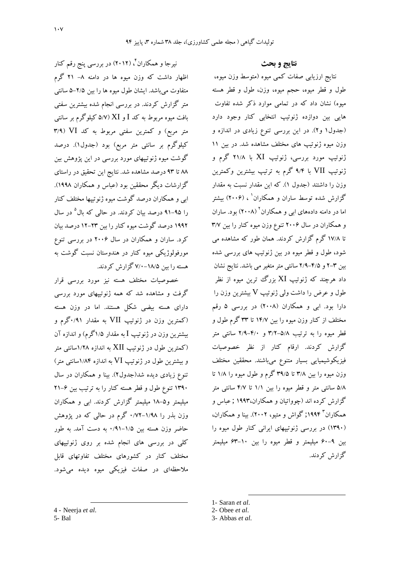نیرجا و همکاران ٔ ، (۲۰۱۲) در بررسی پنج رقم کنار اظهار داشت که وزن میوه ها در دامنه ۸– ۲۱ گرم متفاوت می باشد. ایشان طول میوه ها را بین ۲/۵–۵ سانتی متر گزارش کردند. در بررسی انجام شده بیشترین سفتی بافت میوه مربوط به کد I و XI (۵/۷ کیلوگرم بر سانتی متر مربع) و کمترین سفتی مربوط به کد VI (۳/۹ کیلوگرم بر سانتی متر مربع) بود (جدول۱). درصد گوشت میوه ژنوتیپهای مورد بررسی در این پژوهش بین ٨٨ تا ٩٣ درصد مشاهده شد. نتايج اين تحقيق در راستاي گزارشات دیگر محققین بود (عباس و همکاران ۱۹۹۸). ابی و همکاران درصد گوشت میوه ژنوتییها مختلف کنار را ۹۵–۹۱ درصد بیان کردند. در حالی که بال<sup>۵</sup> در سال ۱۹۹۲ درصد گوشت میوه کنار را بین ۲۳-۱۲ درصد بیان کرد. ساران و همکاران در سال ۲۰۰۶ در بررسی تنوع مورفولوژیکی میوه کنار در هندوستان نسبت گوشت به هسته را سن ۱۸/۵–۷/۰ گزارش کردند.

خصوصیات مختلف هسته نیز مورد بررسی قرار گرفت و مشاهده شد که همه ژنوتبیهای مورد بررسی دارای هسته بیضی شکل هستند. اما در وزن هسته (کمترین وزن در ژنوتیپ VII به مقدار ۰/۹۱گرم و بيشترين وزن در ژنوتيپ I به مقدار ۱/۵گرم) و اندازه آن (کمترین طول در ژنوتیپ XII به اندازه ۱/۲۸سانتی متر و بیشترین طول در ژنوتیپ VI به اندازه ۱/۸۴سانتی متر) تنوع زیادی دیده شد(جدول۲). بینا و همکاران در سال ۱۳۹۰ تنوع طول و قطر هسته کنار را به ترتیب بین ۶–۲۱ میلیمتر و۵–۱۸ میلیمتر گزارش کردند. ابی و همکاران وزن بذر را ۱/۹۸–۰/۷۲ گرم در حالبی که در پژوهش حاضر وزن هسته بین ۱/۵–۰/۹۱ به دست آمد. به طور کلی در بررسی های انجام شده بر روی ژنوتیپهای مختلف کنار در کشورهای مختلف تفاوتهای قابل ملاحظهای در صفات فیزیکی میوه دیده میشود. نتايج و بحث

نتايج ارزيابي صفات كمي ميوه (متوسط وزن ميوه، طول و قطر میوه، حجم میوه، وزن، طول و قطر هسته میوه) نشان داد که در تمامی موارد ذکر شده تفاوت هایی بین دوازده ژنوتیپ انتخابی کنار وجود دارد (جدول۱ و۲). در این بررسی تنوع زیادی در اندازه و وزن میوه ژنوتیپ های مختلف مشاهده شد. در بین ۱۱ ژنوتیپ مورد بررسی، ژنوتیپ XI با ۲۱/۸ گرم و ژنوتیپ VII با ۹/۴ گرم به ترتیپ بیشترین وکمترین وزن را داشتند (جدول ۱). که این مقدار نسبت به مقدار گزارش شده توسط ساران و همکاران ٔ ، (۲۰۰۶) بیشتر اما در دامنه دادههای ابی و همکاران<sup>۲</sup> (۲۰۰۸) بود. ساران و همکاران در سال ۲۰۰۶ تنوع وزن میوه کنار را بین ۳/۷ تا ۱۷/۸ گرم گزارش کردند. همان طور که مشاهده می شود، طول و قطر میوه در بین ژنوتیپ های بررسی شده بین ۳–۲ و ۴/۵–۲/۹ سانتی متر متغیر می باشد. نتایج نشان داد هرچند که ژنوتیپ XI بزرگ ترین میوه از نظر طول و عرض را داشت ولی ژنوتیپ V بیشترین وزن را دارا بود. ابی و همکاران (۲۰۰۸) در بررسی ۵ رقم مختلف از کنار وزن میوه را بین ۱۴/۷ تا ۳۳ گرم طول و قطر میوه را به ترتیب ۵/۸–۳/۲ و ۴/۰–۲/۹ سانتی متر گزارش کردند. ارقام کنار از نظر خصوصیات فیزیکوشیمیایی بسیار متنوع میباشند. محققین مختلف وزن میوه را بین ۳/۸ تا ۳۹/۵ گرم و طول میوه را ۱/۸ تا ۵/۸ سانتی متر و قطر میوه را بین ۱/۱ تا ۴/۷ سانتی متر گزارش کرده اند (چوواتیان و همکاران،۱۹۹۳ ; عباس و همکاران " ۱۹۹۴; گواش و متیو، ۲۰۰۲). بینا و همکاران، (۱۳۹۰) در بررسی ژنوتیپهای ایرانی کنار طول میوه را بین ۹-۶۰ میلیمتر و قطر میوه را بین ۱۰-۶۳ میلیمتر گزارش کردند.

1- Saran et al.

- 4 Neerja et al.
- 5- Bal

<sup>2-</sup> Obee et al.

<sup>3-</sup> Abbas et al.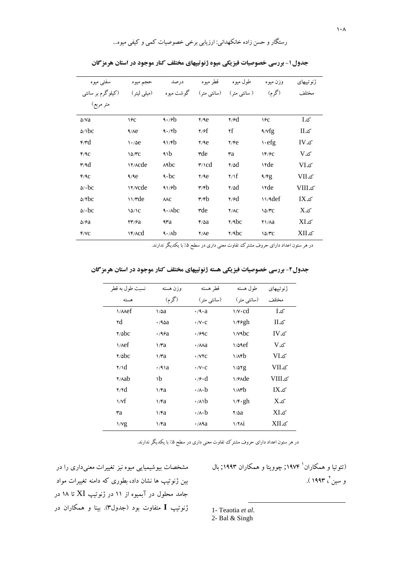| سفتي ميوه                             | حجم ميوه                                    | درصد                            | قطر میوه                          | طول ميوه                | وزن ميوه             | ژنوتییهای       |
|---------------------------------------|---------------------------------------------|---------------------------------|-----------------------------------|-------------------------|----------------------|-----------------|
| (کیلوگرم بر سانتی                     | (میلی لیتر)                                 | گو شت میو ه                     | (سانتي متر)                       | ( سانتی متر )           | (گرم)                | مختلف           |
| متر مربع)                             |                                             |                                 |                                   |                         |                      |                 |
| $\Delta$ /Va                          | ١۶с                                         | $\frac{4.76}{4}$                | Y/9e                              | $\gamma$ / $\epsilon$ d | 19c                  | کد I            |
| $\Delta /$ bc                         | $4/\lambda e$                               | 4.7b                            | Y/ff                              | ۲f                      | $\frac{4}{\sqrt{g}}$ | کدII            |
| $\mathfrak{r}/\mathfrak{r}\mathrm{d}$ | 1.76e                                       | 41/fb                           | Y/9e                              | Y/Fe                    | $\vee$ efg           | IV <sub>1</sub> |
| F/AC                                  | 10/TC                                       | ٩١b                             | rde                               | ٣a                      | 1F/PC                | $V0$ کد         |
| $\mathbf{r}/\mathbf{d}$               | <b>IY/Acde</b>                              | $A$ A $bc$                      | $\mathsf{r}/\mathsf{c}$ d         | $\gamma \Delta d$       | <b>\rde</b>          | VIx             |
| F/AC                                  | 9/9e                                        | $\triangleleft$ $\cdot$ bc      | Y/9e                              | Y/f                     | 4/Fg                 | کدVII           |
| $\Delta/\cdot$ bc                     | <b>17/Vcde</b>                              | 41/6b                           | $\mathbf{r}/\mathbf{r}$           | $\gamma \Delta d$       | <b>\rde</b>          | <b>VIIIکدV</b>  |
| $\Delta/\tau$ bc                      | $\frac{1}{\sqrt{c}}$                        | $\lambda$ AC                    | $\mathbf{r}/\mathbf{r}\mathbf{b}$ | $\gamma$ / $\epsilon$ d | $11/9$ def           | کد IX           |
| $\Delta/\cdot$ bc                     | 10/1C                                       | $\left\{ \cdot/\lambda\right\}$ | rde                               | Y/AC                    | 10/TC                | $X$ کد          |
| $\Delta$ / $\epsilon$ a               | $\mathsf{Y}\mathsf{Y}/\mathsf{P}\mathsf{a}$ | ۹۳a                             | $f/\delta a$                      | $\frac{7}{9}$           | $Y\lambda/a$         | XIک             |
| Y/VC                                  | Y/ACd                                       | $\left(\sqrt{ab}\right)$        | Y/Ae                              | $\gamma$ Abc            | 10/۳C                | کدXII           |
|                                       |                                             |                                 |                                   |                         |                      |                 |

جدول ۱- بررسی خصوصیات فیزیکی میوه ژنوتیپهای مختلف کنار موجود در استان هرمزگان

در هر ستون اعداد دارای حروف مشترک تفاوت معنی داری در سطح ۰٪ با یکدیگر ندارند.

جدول۲- بررسی خصوصیات فیزیکی هسته ژنوتیپهای مختلف کنار موجود در استان هرمزگان

| نسبت طول به قطر         | وزن هسته     | قطر هسته                             | طول هسته                    | ژنو تېيھاي      |
|-------------------------|--------------|--------------------------------------|-----------------------------|-----------------|
| هسته                    | (گرم)        | (سانتے متر )                         | (سانتے متر )                | مختلف           |
| $\bigvee$               | $\sqrt{aa}$  | $\cdot$ /9 $\cdot$ a                 | $\vee \vee \cdot \text{cd}$ | کد I            |
| ۲d                      | $\cdot$ /90a | $\cdot$ /V $\cdot$ C                 | ۱/۴۶gh                      | کد II           |
| $\gamma$ abc            | $\cdot$ /96a | $\cdot$ / $99C$                      | $\sqrt{4bc}$                | IV <sub>1</sub> |
| $\sqrt{det}$            | $\sqrt{ra}$  | $\cdot$ / $\wedge$ $\wedge$ $\wedge$ | 1/09ef                      | کد V            |
| $\gamma$ $\delta$       | $\sqrt{ra}$  | $\cdot$ /VYC                         | $1/A$ rb                    | VIx             |
| $\gamma \Delta$         | $\cdot$ /91a | $\cdot$ /V $\cdot$ C                 | 1/07g                       | کدVII           |
| $\gamma$ / $\lambda$ ab | ١b           | $\cdot$ /9 $\cdot$ d                 | $\frac{1}{2}$               | <b>NIII</b>     |
| $\gamma$                | $\sqrt{a}$   | $\cdot$ / $\lambda \cdot b$          | $1/(\lambda)^2$             | $IX_{15}$       |
| $\sqrt{f}$              | $\sqrt{a}$   | $\cdot$ / $\wedge$ $\vee$            | $1/F \cdot gh$              | $X$ کد          |
| ٣a                      | $\sqrt{a}$   | $\cdot$ / $\lambda \cdot b$          | $\frac{8}{2}$               | کدXI            |
| $\frac{1}{\sqrt{g}}$    | $\sqrt{a}$   | $\cdot$ / $\wedge$ 9 $a$             | $1/7$ $\Lambda$ i           | کدXII           |

در هر ستون اعداد دارای حروف مشترک تفاوت معنی داری در سطح ۵٪ با یکدیگر ندارند.

مشخصات بیوشیمیایی میوه نیز تغییرات معنیداری را در بین ژنوتیپ ها نشان داد، بطوری که دامنه تغییرات مواد جامد محلول در آبمیوه از ۱۱ در ژنوتیپ XI تا ۱۸ در ژنوتیپ I متفاوت بود (جدول۳). بینا و همکاران در

(تئوتبا و همکاران<sup>'</sup> ۱۹۷۴; چوویتا و همکاران ۱۹۹۳; بال و سين<sup>۲</sup>، ۱۹۹۳ ).

1- Teaotia et al.

2- Bal & Singh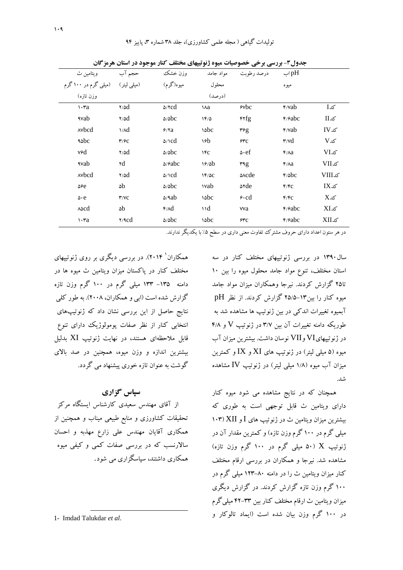| جدول۳- بررسی برخی خصوصیات میوه ژنوتیپهای مختلف کنار موجود در استان هرمزگان |                         |                           |               |                         |                               |                   |  |  |
|----------------------------------------------------------------------------|-------------------------|---------------------------|---------------|-------------------------|-------------------------------|-------------------|--|--|
| ويتامين ث                                                                  | حجم آب                  | وزن خشک                   | مو اد جامد    | در صد رطوبت             | $\mapsto$ pH                  |                   |  |  |
| (میلی لیتر) (میلی گرم در ۱۰۰کرم                                            |                         | ميوه(گرم)                 | محلول         |                         | ميو ه                         |                   |  |  |
| وزن تازه)                                                                  |                         |                           | (درصد)        |                         |                               |                   |  |  |
| $\cdots$ ra                                                                | $\gamma \Delta d$       | $\Delta$ / $\gamma$ cd    | ١ла           | $\epsilon$ $\delta$     | $\frac{\epsilon}{\text{Yab}}$ | کدI               |  |  |
| <b>Avab</b>                                                                | $\gamma/d$              | $\Delta/\Delta$ bc        | 18/0          | $\gamma$                | $\frac{6}{2}$                 | کدII              |  |  |
| Avbcd                                                                      | $\lambda/d$             | 9/7a                      | $\delta$      | $\mathbf{r}$ $\epsilon$ | $\frac{\epsilon}{\text{Yab}}$ | IVx               |  |  |
| <b>Aspc</b>                                                                | $\mathbf{r}/\mathbf{c}$ | $\Delta/\text{C}d$        | ١۶b           | 24C                     | $\mathbf{r}/\mathbf{v}$ d     | V <sub>0</sub>    |  |  |
| v۶d                                                                        | $\gamma/d$              | $\Delta/\Delta$ bc        | 1FC           | $\Delta$ ef             | $f/ \lambda a$                | VIx               |  |  |
| <b>Avab</b>                                                                | ۲d                      | $\Delta$ / $\epsilon$ abc | 19/8b         | $H_{\mathcal{A}}$       | $f/ \lambda a$                | کدVII             |  |  |
| Avbcd                                                                      | $\gamma$ / $\delta d$   | $\Delta/\text{C}d$        | $1F/\Delta C$ | <b>Ande</b>             | f/abc                         | <b>VIIIکدVIII</b> |  |  |
| $\Delta$ ۶e                                                                | ۵b                      | $\Delta/\Delta$ bc        | <b>\vab</b>   | <b>s</b> rde            | F/FC                          | $IX$ کد           |  |  |
| $\Delta \cdot e$                                                           | Y/VC                    | $\Delta$ /۹ab             | $\delta$      | $6 \cdot cd$            | F/FC                          | $X$ کد            |  |  |
| $\lambda \triangle$ cd                                                     | ۵b                      | $\gamma \wedge d$         | $\vee$        | vva                     | $\frac{6}{2}$                 | $XI$ کد           |  |  |
| $\cdots$ ra                                                                | $\gamma$                | $\Delta/\Delta$ bc        | <b>Sobc</b>   | 25                      | $\frac{6}{2}$                 | کدXII             |  |  |

تولیدات گیاهی ( مجله علمی کشاورزی)، جلد ۳۸ شماره ۳، پاییز ۹۴

در هر ستون اعداد دارای حروف مشترک تفاوت معنی داری در سطح ۰٪ با یکدیگر ندارند.

سال ۱۳۹۰ در بررسی ژنوتییهای مختلف کنار در سه استان مختلف، تنوع مواد جامد محلول میوه را بین ۱۰ تا۲۵ گزارش کردند. نیرجا وهمکاران میزان مواد جامد میوه کنار را بین۱۳–۲۵/۵ گزارش کردند. از نظر pH آبمیوه تغییرات اندکی در بین ژنوتیپ ها مشاهده شد به طوریکه دامنه تغییرات آن بین ۳/۷ در ژنوتیپ V و ۴/۸ در ژنوتیپهایVI وVII نوسان داشت. بیشترین میزان آب میوه (۵ میلمی لیتر) در ژنوتیپ های XI و IX و کمترین میزان آب میوه (۱/۸ میل<sub>ی</sub> لیتر) در ژنوتیپ IV مشاهده شد.

همچنان که در نتایج مشاهده می شود میوه کنار دارای ویتامین ث قابل توجهی است به طوری که  $(1.7)$  بیشترین میزان ویتامین ث در ژنو تبپ های  $I$  و XII (۱۰۳ میلی گرم در ۱۰۰ گرم وزن تازه) و کمترین مقدار آن در ژنوتیپ X (۵۰ میلی گرم در ۱۰۰ گرم وزن تازه) مشاهده شد. نیرجا و همکاران در بررسی ارقام مختلف کنار میزان ویتامین ث را در دامنه ۸۰–۱۲۳ میلی گرم در ۱۰۰ گرم وزن تازه گزارش کردند. در گزارش دیگری میزان ویتامین ث ارقام مختلف کنار بین ۳۳–۴۲ میلی گرم در ۱۰۰ گرم وزن بیان شده است (ایماد تالوکار و

همکاران<sup>۱</sup> ۲۰۱۴). در بررسی دیگری بر روی ژنوتپیهای مختلف کنار در پاکستان مبزان ویتامین ث مبوه ها در دامنه ۱۳۵– ۱۳۳ میلی گرم در ۱۰۰ گرم وزن تازه گزارش شده است (ابی و همکاران، ۲۰۰۸). به طور کلی .<br>نتایج حاصل از این بررسی نشان داد که ژنوتیپهای انتخابی کنار از نظر صفات یومولوژیک دارای تنوع قابل ملاحظهای هستند، در نهایت ژنوتیپ XI بدلیل بیشترین اندازه و وزن میوه، همچنین در صد بالای گوشت به عنوان تازه خوری پیشنهاد می گردد.

## سیاس گزاری

از آقای مهندس سعیدی کارشناس ایستگاه مرکز تحقیقات کشاورزی و منابع طبیعی میناب و همچنین از همکاری آقایان مهندس علی زارع مهذبه و احسان سالارنسب که در بررسی صفات کمبی و کیفی میوه همکاری داشتند، سیاسگزاری می شود.

<sup>1-</sup> Imdad Talukdar et al.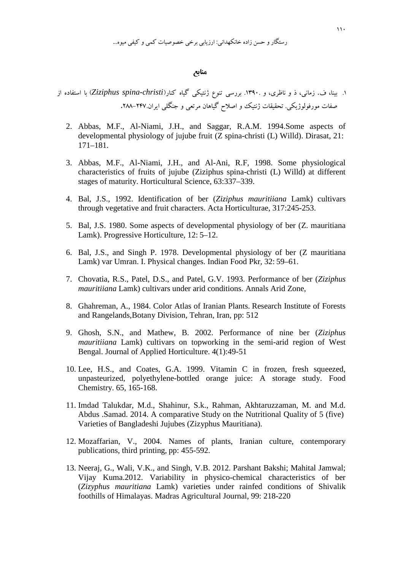..." c 
 `S/ /98 8% :,-.,/ "0 123 
)\*+

## منابع

 "0c\*+ ( 8 *Ziziphus spina-christi*)? " .\*,\_ o? +98 .1390 
. 9z, 
} , .f ?8 1. **.**288 247- .:9% )? @9 : uQ` w\*,\_ <<= ..%\_E c`

- 2. Abbas, M.F., Al-Niami, J.H., and Saggar, R.A.M. 1994.Some aspects of developmental physiology of jujube fruit (Z spina-christi (L) Willd). Dirasat, 21: 171–181.
- 3. Abbas, M.F., Al-Niami, J.H., and Al-Ani, R.F, 1998. Some physiological characteristics of fruits of jujube (Ziziphus spina-christi (L) Willd) at different stages of maturity. Horticultural Science, 63:337–339.
- 4. Bal, J.S., 1992. Identification of ber (*Ziziphus mauritiiana* Lamk) cultivars through vegetative and fruit characters. Acta Horticulturae, 317:245-253.
- 5. Bal, J.S. 1980. Some aspects of developmental physiology of ber (Z. mauritiana Lamk). Progressive Horticulture, 12: 5–12.
- 6. Bal, J.S., and Singh P. 1978. Developmental physiology of ber (Z mauritiana Lamk) var Umran. I. Physical changes. Indian Food Pkr, 32: 59–61.
- 7. Chovatia, R.S., Patel, D.S., and Patel, G.V. 1993. Performance of ber (*Ziziphus mauritiiana* Lamk) cultivars under arid conditions. Annals Arid Zone,
- 8. Ghahreman, A., 1984. Color Atlas of Iranian Plants. Research Institute of Forests and Rangelands,Botany Division, Tehran, Iran, pp: 512
- 9. Ghosh, S.N., and Mathew, B. 2002. Performance of nine ber (*Ziziphus mauritiiana* Lamk) cultivars on topworking in the semi-arid region of West Bengal. Journal of Applied Horticulture. 4(1):49-51
- 10. Lee, H.S., and Coates, G.A. 1999. Vitamin C in frozen, fresh squeezed, unpasteurized, polyethylene-bottled orange juice: A storage study. Food Chemistry. 65, 165-168.
- 11. Imdad Talukdar, M.d., Shahinur, S.k., Rahman, Akhtaruzzaman, M. and M.d. Abdus .Samad. 2014. A comparative Study on the Nutritional Quality of 5 (five) Varieties of Bangladeshi Jujubes (Zizyphus Mauritiana).
- 12. Mozaffarian, V., 2004. Names of plants, Iranian culture, contemporary publications, third printing, pp: 455-592.
- 13. Neeraj, G., Wali, V.K., and Singh, V.B. 2012. Parshant Bakshi; Mahital Jamwal; Vijay Kuma.2012. Variability in physico-chemical characteristics of ber (*Zizyphus mauritiana* Lamk) varieties under rainfed conditions of Shivalik foothills of Himalayas. Madras Agricultural Journal, 99: 218-220